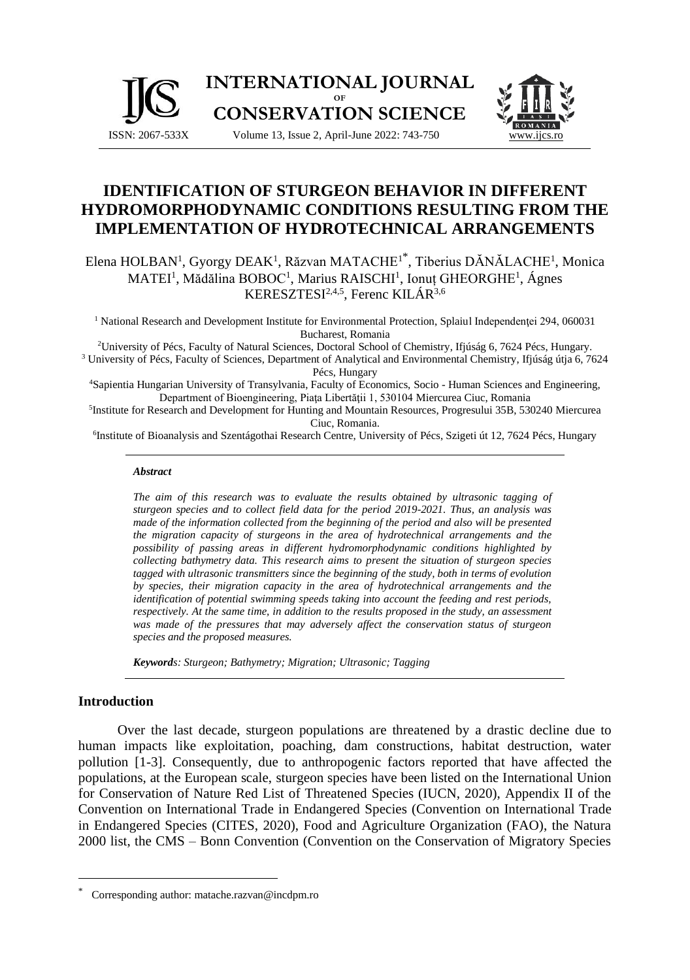

# **IDENTIFICATION OF STURGEON BEHAVIOR IN DIFFERENT HYDROMORPHODYNAMIC CONDITIONS RESULTING FROM THE IMPLEMENTATION OF HYDROTECHNICAL ARRANGEMENTS**

Elena HOLBAN<sup>1</sup>, Gyorgy DEAK<sup>1</sup>, Răzvan MATACHE<sup>1\*</sup>, Tiberius DĂNĂLACHE<sup>1</sup>, Monica MATEI<sup>1</sup>, Mădălina BOBOC<sup>1</sup>, Marius RAISCHI<sup>1</sup>, Ionuț GHEORGHE<sup>1</sup>, Ágnes KERESZTESI<sup>2,4,5</sup>, Ferenc KILÁR<sup>3,6</sup>

<sup>1</sup> National Research and Development Institute for Environmental Protection, Splaiul Independentei 294, 060031 Bucharest, Romania

<sup>2</sup>University of Pécs, Faculty of Natural Sciences, Doctoral School of Chemistry, Ifjúság 6, 7624 Pécs, Hungary. <sup>3</sup> University of Pécs, Faculty of Sciences, Department of Analytical and Environmental Chemistry, Ifjúság útja 6, 7624 Pécs, Hungary

<sup>4</sup>Sapientia Hungarian University of Transylvania, Faculty of Economics, Socio - Human Sciences and Engineering, Department of Bioengineering, Piaţa Libertăţii 1, 530104 Miercurea Ciuc, Romania

5 Institute for Research and Development for Hunting and Mountain Resources, Progresului 35B, 530240 Miercurea Ciuc, Romania.

6 Institute of Bioanalysis and Szentágothai Research Centre, University of Pécs, Szigeti út 12, 7624 Pécs, Hungary

### *Abstract*

*The aim of this research was to evaluate the results obtained by ultrasonic tagging of sturgeon species and to collect field data for the period 2019-2021. Thus, an analysis was made of the information collected from the beginning of the period and also will be presented the migration capacity of sturgeons in the area of hydrotechnical arrangements and the possibility of passing areas in different hydromorphodynamic conditions highlighted by collecting bathymetry data. This research aims to present the situation of sturgeon species tagged with ultrasonic transmitters since the beginning of the study, both in terms of evolution by species, their migration capacity in the area of hydrotechnical arrangements and the identification of potential swimming speeds taking into account the feeding and rest periods, respectively. At the same time, in addition to the results proposed in the study, an assessment*  was made of the pressures that may adversely affect the conservation status of sturgeon *species and the proposed measures.*

*Keywords: Sturgeon; Bathymetry; Migration; Ultrasonic; Tagging*

# **Introduction**

Over the last decade, sturgeon populations are threatened by a drastic decline due to human impacts like exploitation, poaching, dam constructions, habitat destruction, water pollution [1-3]. Consequently, due to anthropogenic factors reported that have affected the populations, at the European scale, sturgeon species have been listed on the International Union for Conservation of Nature Red List of Threatened Species (IUCN, 2020), Appendix II of the Convention on International Trade in Endangered Species (Convention on International Trade in Endangered Species (CITES, 2020), Food and Agriculture Organization (FAO), the Natura 2000 list, the CMS – Bonn Convention (Convention on the Conservation of Migratory Species

Corresponding author: matache.razvan@incdpm.ro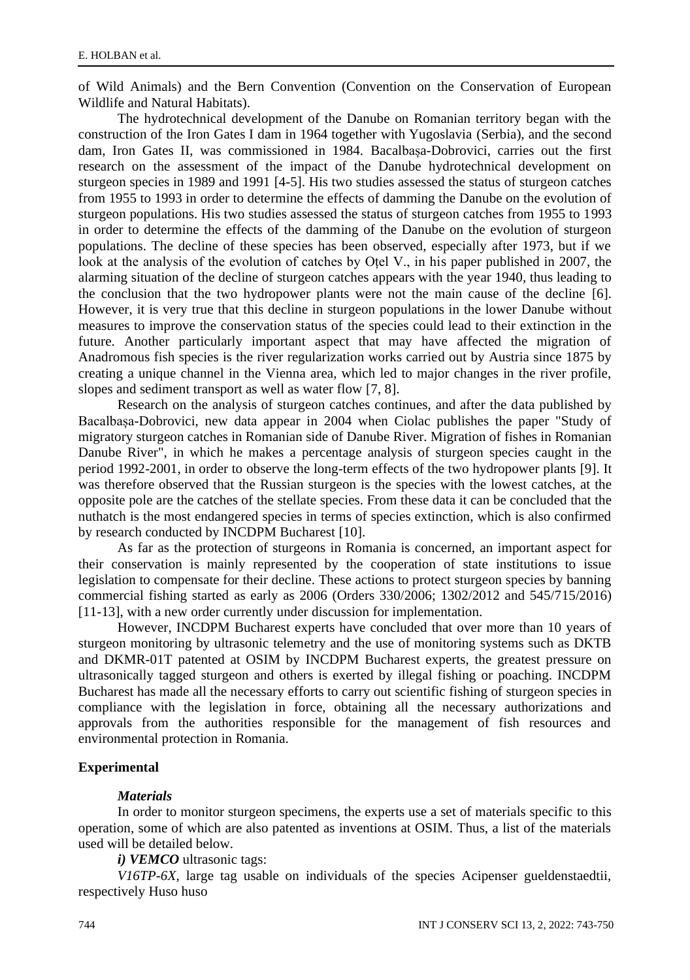of Wild Animals) and the Bern Convention (Convention on the Conservation of European Wildlife and Natural Habitats).

The hydrotechnical development of the Danube on Romanian territory began with the construction of the Iron Gates I dam in 1964 together with Yugoslavia (Serbia), and the second dam, Iron Gates II, was commissioned in 1984. Bacalbașa-Dobrovici, carries out the first research on the assessment of the impact of the Danube hydrotechnical development on sturgeon species in 1989 and 1991 [4-5]. His two studies assessed the status of sturgeon catches from 1955 to 1993 in order to determine the effects of damming the Danube on the evolution of sturgeon populations. His two studies assessed the status of sturgeon catches from 1955 to 1993 in order to determine the effects of the damming of the Danube on the evolution of sturgeon populations. The decline of these species has been observed, especially after 1973, but if we look at the analysis of the evolution of catches by Oțel V., in his paper published in 2007, the alarming situation of the decline of sturgeon catches appears with the year 1940, thus leading to the conclusion that the two hydropower plants were not the main cause of the decline [6]. However, it is very true that this decline in sturgeon populations in the lower Danube without measures to improve the conservation status of the species could lead to their extinction in the future. Another particularly important aspect that may have affected the migration of Anadromous fish species is the river regularization works carried out by Austria since 1875 by creating a unique channel in the Vienna area, which led to major changes in the river profile, slopes and sediment transport as well as water flow [7, 8].

Research on the analysis of sturgeon catches continues, and after the data published by Bacalbașa-Dobrovici, new data appear in 2004 when Ciolac publishes the paper "Study of migratory sturgeon catches in Romanian side of Danube River. Migration of fishes in Romanian Danube River", in which he makes a percentage analysis of sturgeon species caught in the period 1992-2001, in order to observe the long-term effects of the two hydropower plants [9]. It was therefore observed that the Russian sturgeon is the species with the lowest catches, at the opposite pole are the catches of the stellate species. From these data it can be concluded that the nuthatch is the most endangered species in terms of species extinction, which is also confirmed by research conducted by INCDPM Bucharest [10].

As far as the protection of sturgeons in Romania is concerned, an important aspect for their conservation is mainly represented by the cooperation of state institutions to issue legislation to compensate for their decline. These actions to protect sturgeon species by banning commercial fishing started as early as 2006 (Orders 330/2006; 1302/2012 and 545/715/2016) [11-13], with a new order currently under discussion for implementation.

However, INCDPM Bucharest experts have concluded that over more than 10 years of sturgeon monitoring by ultrasonic telemetry and the use of monitoring systems such as DKTB and DKMR-01T patented at OSIM by INCDPM Bucharest experts, the greatest pressure on ultrasonically tagged sturgeon and others is exerted by illegal fishing or poaching. INCDPM Bucharest has made all the necessary efforts to carry out scientific fishing of sturgeon species in compliance with the legislation in force, obtaining all the necessary authorizations and approvals from the authorities responsible for the management of fish resources and environmental protection in Romania.

## **Experimental**

## *Materials*

In order to monitor sturgeon specimens, the experts use a set of materials specific to this operation, some of which are also patented as inventions at OSIM. Thus, a list of the materials used will be detailed below.

*i) VEMCO* ultrasonic tags:

*V16TP-6X,* large tag usable on individuals of the species Acipenser gueldenstaedtii, respectively Huso huso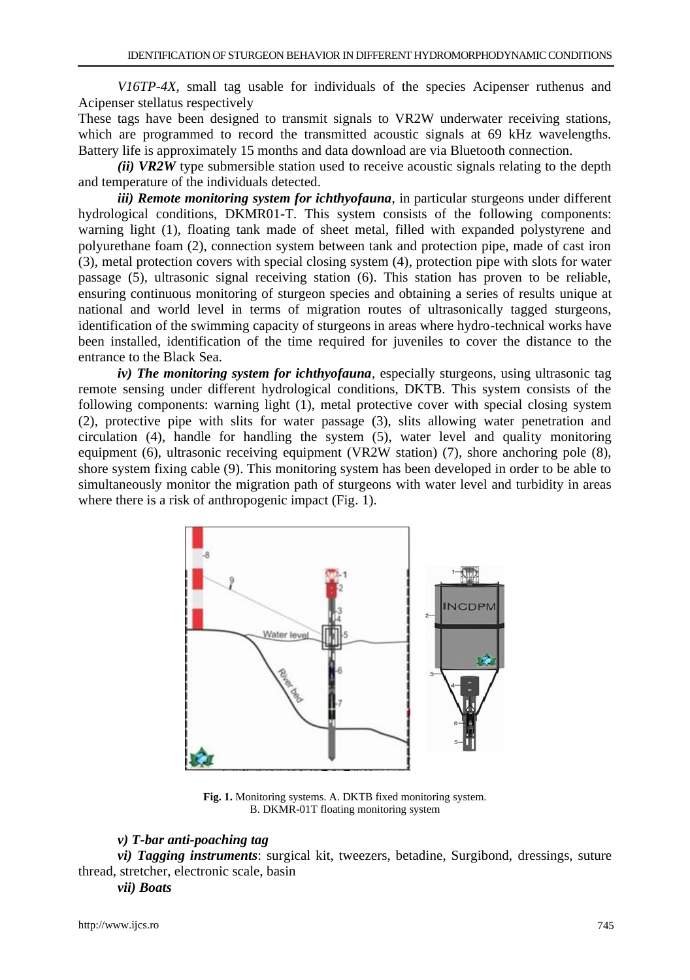*V16TP-4X,* small tag usable for individuals of the species Acipenser ruthenus and Acipenser stellatus respectively

These tags have been designed to transmit signals to VR2W underwater receiving stations, which are programmed to record the transmitted acoustic signals at 69 kHz wavelengths. Battery life is approximately 15 months and data download are via Bluetooth connection.

*(ii) VR2W* type submersible station used to receive acoustic signals relating to the depth and temperature of the individuals detected.

*iii) Remote monitoring system for ichthyofauna*, in particular sturgeons under different hydrological conditions, DKMR01-T. This system consists of the following components: warning light (1), floating tank made of sheet metal, filled with expanded polystyrene and polyurethane foam (2), connection system between tank and protection pipe, made of cast iron (3), metal protection covers with special closing system (4), protection pipe with slots for water passage (5), ultrasonic signal receiving station (6). This station has proven to be reliable, ensuring continuous monitoring of sturgeon species and obtaining a series of results unique at national and world level in terms of migration routes of ultrasonically tagged sturgeons, identification of the swimming capacity of sturgeons in areas where hydro-technical works have been installed, identification of the time required for juveniles to cover the distance to the entrance to the Black Sea.

*iv) The monitoring system for ichthyofauna*, especially sturgeons, using ultrasonic tag remote sensing under different hydrological conditions, DKTB. This system consists of the following components: warning light (1), metal protective cover with special closing system (2), protective pipe with slits for water passage (3), slits allowing water penetration and circulation (4), handle for handling the system  $(5)$ , water level and quality monitoring equipment (6), ultrasonic receiving equipment (VR2W station) (7), shore anchoring pole (8), shore system fixing cable (9). This monitoring system has been developed in order to be able to simultaneously monitor the migration path of sturgeons with water level and turbidity in areas where there is a risk of anthropogenic impact (Fig. 1).



**Fig. 1.** Monitoring systems. A. DKTB fixed monitoring system. B. DKMR-01T floating monitoring system

# *v) T-bar anti-poaching tag*

*vi) Tagging instruments*: surgical kit, tweezers, betadine, Surgibond, dressings, suture thread, stretcher, electronic scale, basin

# *vii) Boats*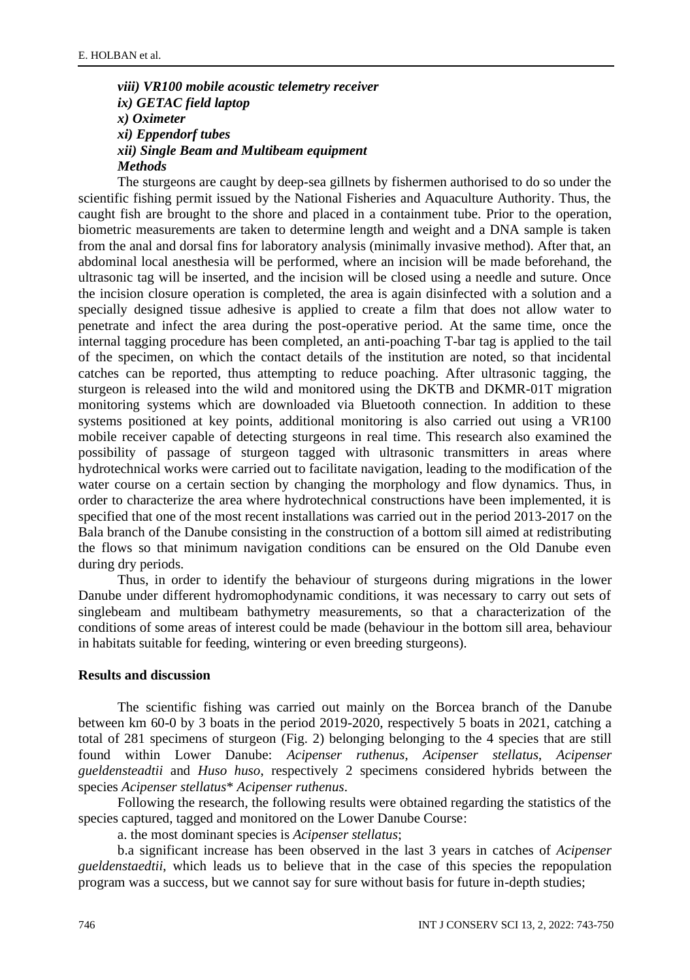# *viii) VR100 mobile acoustic telemetry receiver ix) GETAC field laptop x) Oximeter xi) Eppendorf tubes xii) Single Beam and Multibeam equipment Methods*

The sturgeons are caught by deep-sea gillnets by fishermen authorised to do so under the scientific fishing permit issued by the National Fisheries and Aquaculture Authority. Thus, the caught fish are brought to the shore and placed in a containment tube. Prior to the operation, biometric measurements are taken to determine length and weight and a DNA sample is taken from the anal and dorsal fins for laboratory analysis (minimally invasive method). After that, an abdominal local anesthesia will be performed, where an incision will be made beforehand, the ultrasonic tag will be inserted, and the incision will be closed using a needle and suture. Once the incision closure operation is completed, the area is again disinfected with a solution and a specially designed tissue adhesive is applied to create a film that does not allow water to penetrate and infect the area during the post-operative period. At the same time, once the internal tagging procedure has been completed, an anti-poaching T-bar tag is applied to the tail of the specimen, on which the contact details of the institution are noted, so that incidental catches can be reported, thus attempting to reduce poaching. After ultrasonic tagging, the sturgeon is released into the wild and monitored using the DKTB and DKMR-01T migration monitoring systems which are downloaded via Bluetooth connection. In addition to these systems positioned at key points, additional monitoring is also carried out using a VR100 mobile receiver capable of detecting sturgeons in real time. This research also examined the possibility of passage of sturgeon tagged with ultrasonic transmitters in areas where hydrotechnical works were carried out to facilitate navigation, leading to the modification of the water course on a certain section by changing the morphology and flow dynamics. Thus, in order to characterize the area where hydrotechnical constructions have been implemented, it is specified that one of the most recent installations was carried out in the period 2013-2017 on the Bala branch of the Danube consisting in the construction of a bottom sill aimed at redistributing the flows so that minimum navigation conditions can be ensured on the Old Danube even during dry periods.

Thus, in order to identify the behaviour of sturgeons during migrations in the lower Danube under different hydromophodynamic conditions, it was necessary to carry out sets of singlebeam and multibeam bathymetry measurements, so that a characterization of the conditions of some areas of interest could be made (behaviour in the bottom sill area, behaviour in habitats suitable for feeding, wintering or even breeding sturgeons).

## **Results and discussion**

The scientific fishing was carried out mainly on the Borcea branch of the Danube between km 60-0 by 3 boats in the period 2019-2020, respectively 5 boats in 2021, catching a total of 281 specimens of sturgeon (Fig. 2) belonging belonging to the 4 species that are still found within Lower Danube: *Acipenser ruthenus, Acipenser stellatus*, *Acipenser gueldensteadtii* and *Huso huso*, respectively 2 specimens considered hybrids between the species *Acipenser stellatus*\* *Acipenser ruthenus*.

Following the research, the following results were obtained regarding the statistics of the species captured, tagged and monitored on the Lower Danube Course:

a. the most dominant species is *Acipenser stellatus*;

b.a significant increase has been observed in the last 3 years in catches of *Acipenser gueldenstaedtii*, which leads us to believe that in the case of this species the repopulation program was a success, but we cannot say for sure without basis for future in-depth studies;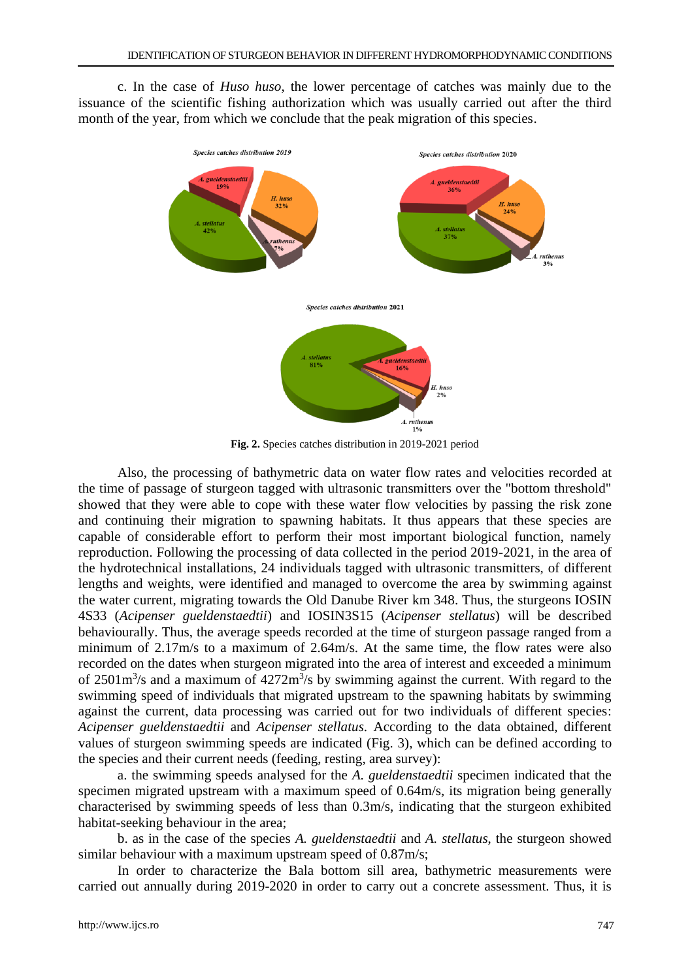c. In the case of *Huso huso*, the lower percentage of catches was mainly due to the issuance of the scientific fishing authorization which was usually carried out after the third month of the year, from which we conclude that the peak migration of this species.



**Fig. 2.** Species catches distribution in 2019-2021 period

Also, the processing of bathymetric data on water flow rates and velocities recorded at the time of passage of sturgeon tagged with ultrasonic transmitters over the "bottom threshold" showed that they were able to cope with these water flow velocities by passing the risk zone and continuing their migration to spawning habitats. It thus appears that these species are capable of considerable effort to perform their most important biological function, namely reproduction. Following the processing of data collected in the period 2019-2021, in the area of the hydrotechnical installations, 24 individuals tagged with ultrasonic transmitters, of different lengths and weights, were identified and managed to overcome the area by swimming against the water current, migrating towards the Old Danube River km 348. Thus, the sturgeons IOSIN 4S33 (*Acipenser gueldenstaedtii*) and IOSIN3S15 (*Acipenser stellatus*) will be described behaviourally. Thus, the average speeds recorded at the time of sturgeon passage ranged from a minimum of 2.17m/s to a maximum of 2.64m/s. At the same time, the flow rates were also recorded on the dates when sturgeon migrated into the area of interest and exceeded a minimum of  $2501 \text{m}^3$ /s and a maximum of  $4272 \text{m}^3$ /s by swimming against the current. With regard to the swimming speed of individuals that migrated upstream to the spawning habitats by swimming against the current, data processing was carried out for two individuals of different species: *Acipenser gueldenstaedtii* and *Acipenser stellatus*. According to the data obtained, different values of sturgeon swimming speeds are indicated (Fig. 3), which can be defined according to the species and their current needs (feeding, resting, area survey):

a. the swimming speeds analysed for the *A. gueldenstaedtii* specimen indicated that the specimen migrated upstream with a maximum speed of 0.64m/s, its migration being generally characterised by swimming speeds of less than 0.3m/s, indicating that the sturgeon exhibited habitat-seeking behaviour in the area;

b. as in the case of the species *A. gueldenstaedtii* and *A. stellatus*, the sturgeon showed similar behaviour with a maximum upstream speed of 0.87m/s;

In order to characterize the Bala bottom sill area, bathymetric measurements were carried out annually during 2019-2020 in order to carry out a concrete assessment. Thus, it is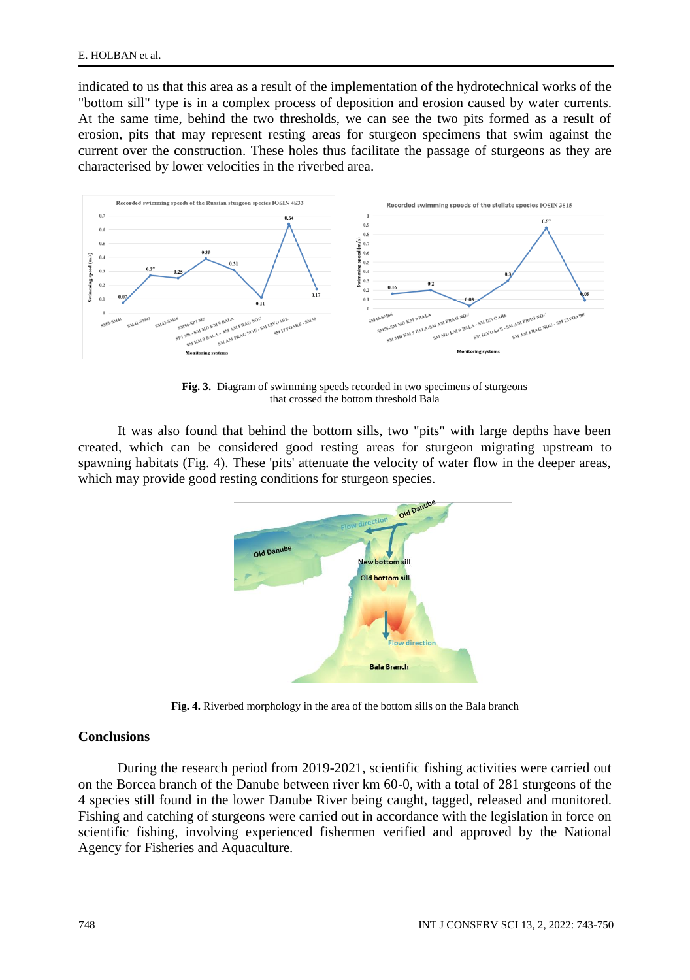indicated to us that this area as a result of the implementation of the hydrotechnical works of the "bottom sill" type is in a complex process of deposition and erosion caused by water currents. At the same time, behind the two thresholds, we can see the two pits formed as a result of erosion, pits that may represent resting areas for sturgeon specimens that swim against the current over the construction. These holes thus facilitate the passage of sturgeons as they are characterised by lower velocities in the riverbed area.



**Fig. 3.** Diagram of swimming speeds recorded in two specimens of sturgeons that crossed the bottom threshold Bala

It was also found that behind the bottom sills, two "pits" with large depths have been created, which can be considered good resting areas for sturgeon migrating upstream to spawning habitats (Fig. 4). These 'pits' attenuate the velocity of water flow in the deeper areas, which may provide good resting conditions for sturgeon species.



**Fig. 4.** Riverbed morphology in the area of the bottom sills on the Bala branch

# **Conclusions**

During the research period from 2019-2021, scientific fishing activities were carried out on the Borcea branch of the Danube between river km 60-0, with a total of 281 sturgeons of the 4 species still found in the lower Danube River being caught, tagged, released and monitored. Fishing and catching of sturgeons were carried out in accordance with the legislation in force on scientific fishing, involving experienced fishermen verified and approved by the National Agency for Fisheries and Aquaculture.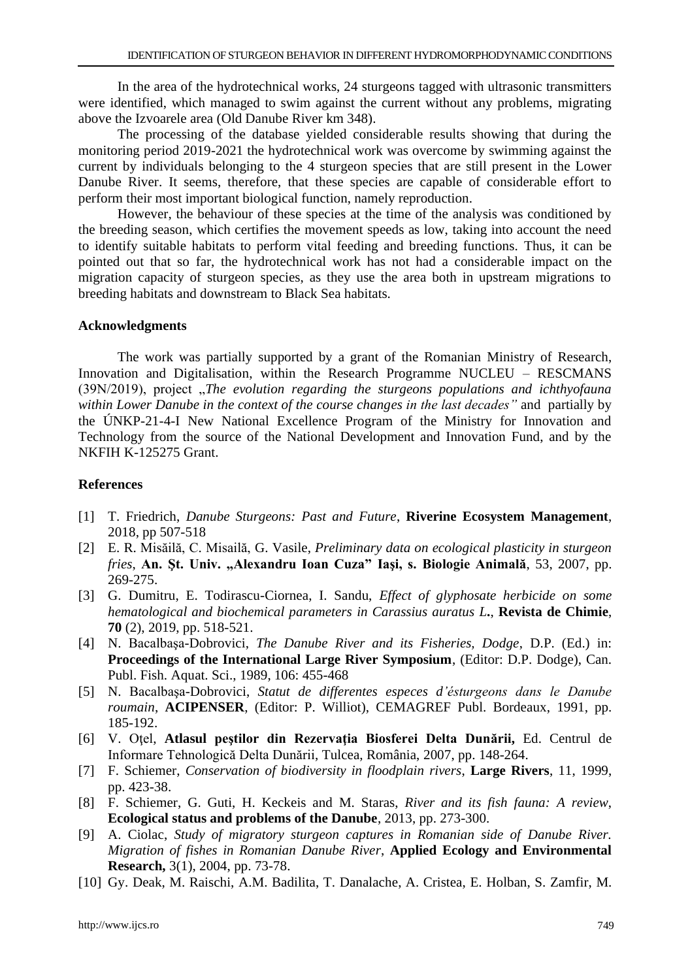In the area of the hydrotechnical works, 24 sturgeons tagged with ultrasonic transmitters were identified, which managed to swim against the current without any problems, migrating above the Izvoarele area (Old Danube River km 348).

The processing of the database yielded considerable results showing that during the monitoring period 2019-2021 the hydrotechnical work was overcome by swimming against the current by individuals belonging to the 4 sturgeon species that are still present in the Lower Danube River. It seems, therefore, that these species are capable of considerable effort to perform their most important biological function, namely reproduction.

However, the behaviour of these species at the time of the analysis was conditioned by the breeding season, which certifies the movement speeds as low, taking into account the need to identify suitable habitats to perform vital feeding and breeding functions. Thus, it can be pointed out that so far, the hydrotechnical work has not had a considerable impact on the migration capacity of sturgeon species, as they use the area both in upstream migrations to breeding habitats and downstream to Black Sea habitats.

## **Acknowledgments**

The work was partially supported by a grant of the Romanian Ministry of Research, Innovation and Digitalisation, within the Research Programme NUCLEU – RESCMANS (39N/2019), project "*The evolution regarding the sturgeons populations and ichthyofauna within Lower Danube in the context of the course changes in the last decades"* and partially by the ÚNKP-21-4-I New National Excellence Program of the Ministry for Innovation and Technology from the source of the National Development and Innovation Fund, and by the NKFIH K-125275 Grant.

## **References**

- [1] T. Friedrich, *Danube Sturgeons: Past and Future*, **Riverine Ecosystem Management**, 2018, pp 507-518
- [2] E. R. Misăilă, C. Misailă, G. Vasile, *Preliminary data on ecological plasticity in sturgeon fries*, **An. Şt. Univ. "Alexandru Ioan Cuza" Iaşi, s. Biologie Animală**, 53, 2007, pp. 269-275.
- [3] G. Dumitru, E. Todirascu-Ciornea, I. Sandu, *Effect of glyphosate herbicide on some hematological and biochemical parameters in Carassius auratus L***.**, **Revista de Chimie**, **70** (2), 2019, pp. 518-521.
- [4] N. Bacalbaşa-Dobrovici, *The Danube River and its Fisheries, Dodge*, D.P. (Ed.) in: **Proceedings of the International Large River Symposium**, (Editor: D.P. Dodge), Can. Publ. Fish. Aquat. Sci., 1989, 106: 455-468
- [5] N. Bacalbaşa-Dobrovici, *Statut de differentes especes d'ésturgeons dans le Danube roumain*, **ACIPENSER**, (Editor: P. Williot), CEMAGREF Publ. Bordeaux, 1991, pp. 185-192.
- [6] V. Oţel, **Atlasul peştilor din Rezervaţia Biosferei Delta Dunării,** Ed. Centrul de Informare Tehnologică Delta Dunării, Tulcea, România, 2007, pp. 148-264.
- [7] F. Schiemer, *Conservation of biodiversity in floodplain rivers*, **Large Rivers**, 11, 1999, pp. 423-38.
- [8] F. Schiemer, G. Guti, H. Keckeis and M. Staras, *River and its fish fauna: A review*, **Ecological status and problems of the Danube**, 2013, pp. 273-300.
- [9] A. Ciolac, *Study of migratory sturgeon captures in Romanian side of Danube River. Migration of fishes in Romanian Danube River*, **Applied Ecology and Environmental Research,** 3(1), 2004, pp. 73-78.
- [10] Gy. Deak, M. Raischi, A.M. Badilita, T. Danalache, A. Cristea, E. Holban, S. Zamfir, M.